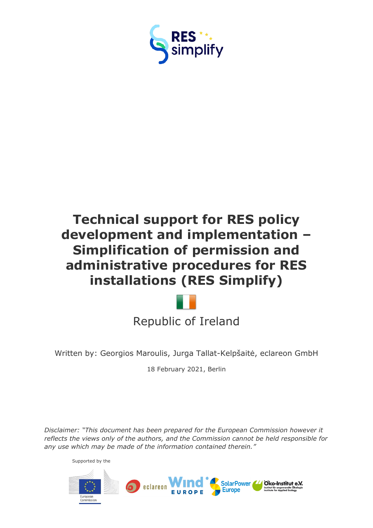

# **Technical support for RES policy development and implementation – Simplification of permission and administrative procedures for RES installations (RES Simplify)**



Written by: Georgios Maroulis, Jurga Tallat-Kelpšaitė, eclareon GmbH

18 February 2021, Berlin

*Disclaimer: "This document has been prepared for the European Commission however it reflects the views only of the authors, and the Commission cannot be held responsible for any use which may be made of the information contained therein."*

Supported by the

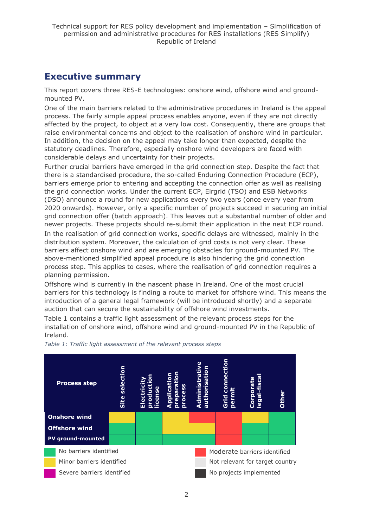# <span id="page-1-0"></span>**Executive summary**

This report covers three RES-E technologies: onshore wind, offshore wind and groundmounted PV.

One of the main barriers related to the administrative procedures in Ireland is the appeal process. The fairly simple appeal process enables anyone, even if they are not directly affected by the project, to object at a very low cost. Consequently, there are groups that raise environmental concerns and object to the realisation of onshore wind in particular. In addition, the decision on the appeal may take longer than expected, despite the statutory deadlines. Therefore, especially onshore wind developers are faced with considerable delays and uncertainty for their projects.

Further crucial barriers have emerged in the grid connection step. Despite the fact that there is a standardised procedure, the so-called Enduring Connection Procedure (ECP), barriers emerge prior to entering and accepting the connection offer as well as realising the grid connection works. Under the current ECP, Eirgrid (TSO) and ESB Networks (DSO) announce a round for new applications every two years (once every year from 2020 onwards). However, only a specific number of projects succeed in securing an initial grid connection offer (batch approach). This leaves out a substantial number of older and newer projects. These projects should re-submit their application in the next ECP round. In the realisation of grid connection works, specific delays are witnessed, mainly in the distribution system. Moreover, the calculation of grid costs is not very clear. These barriers affect onshore wind and are emerging obstacles for ground-mounted PV. The above-mentioned simplified appeal procedure is also hindering the grid connection process step. This applies to cases, where the realisation of grid connection requires a planning permission.

Offshore wind is currently in the nascent phase in Ireland. One of the most crucial barriers for this technology is finding a route to market for offshore wind. This means the introduction of a general legal framework (will be introduced shortly) and a separate auction that can secure the sustainability of offshore wind investments.

Table 1 contains a traffic light assessment of the relevant process steps for the installation of onshore wind, offshore wind and ground-mounted PV in the Republic of Ireland.



*Table 1: Traffic light assessment of the relevant process steps*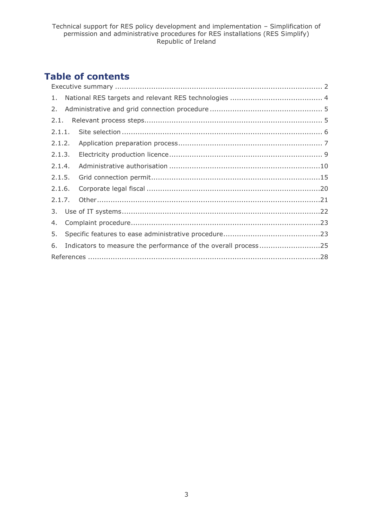# **Table of contents**

| 2.1.   |  |                                                                |
|--------|--|----------------------------------------------------------------|
|        |  |                                                                |
| 2.1.2. |  |                                                                |
| 2.1.3. |  |                                                                |
| 2.1.4. |  |                                                                |
| 2.1.5. |  |                                                                |
| 2.1.6. |  |                                                                |
| 2.1.7. |  |                                                                |
|        |  |                                                                |
|        |  |                                                                |
|        |  |                                                                |
|        |  |                                                                |
|        |  |                                                                |
|        |  | Indicators to measure the performance of the overall process25 |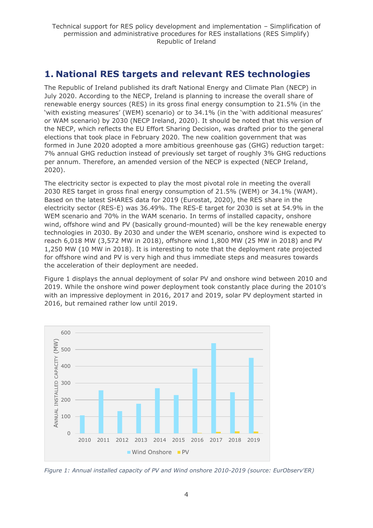# <span id="page-3-0"></span>**1. National RES targets and relevant RES technologies**

The Republic of Ireland published its draft National Energy and Climate Plan (NECP) in July 2020. According to the NECP, Ireland is planning to increase the overall share of renewable energy sources (RES) in its gross final energy consumption to 21.5% (in the 'with existing measures' (WEM) scenario) or to 34.1% (in the 'with additional measures' or WAM scenario) by 2030 (NECP Ireland, 2020). It should be noted that this version of the NECP, which reflects the EU Effort Sharing Decision, was drafted prior to the general elections that took place in February 2020. The new coalition government that was formed in June 2020 adopted a more ambitious greenhouse gas (GHG) reduction target: 7% annual GHG reduction instead of previously set target of roughly 3% GHG reductions per annum. Therefore, an amended version of the NECP is expected (NECP Ireland, 2020).

The electricity sector is expected to play the most pivotal role in meeting the overall 2030 RES target in gross final energy consumption of 21.5% (WEM) or 34.1% (WAM). Based on the latest SHARES data for 2019 (Eurostat, 2020), the RES share in the electricity sector (RES-E) was 36.49%. The RES-E target for 2030 is set at 54.9% in the WEM scenario and 70% in the WAM scenario. In terms of installed capacity, onshore wind, offshore wind and PV (basically ground-mounted) will be the key renewable energy technologies in 2030. By 2030 and under the WEM scenario, onshore wind is expected to reach 6,018 MW (3,572 MW in 2018), offshore wind 1,800 MW (25 MW in 2018) and PV 1,250 MW (10 MW in 2018). It is interesting to note that the deployment rate projected for offshore wind and PV is very high and thus immediate steps and measures towards the acceleration of their deployment are needed.

Figure 1 displays the annual deployment of solar PV and onshore wind between 2010 and 2019. While the onshore wind power deployment took constantly place during the 2010's with an impressive deployment in 2016, 2017 and 2019, solar PV deployment started in 2016, but remained rather low until 2019.



*Figure 1: Annual installed capacity of PV and Wind onshore 2010-2019 (source: EurObserv'ER)*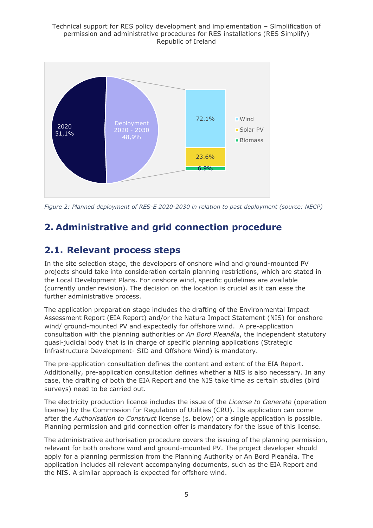

*Figure 2: Planned deployment of RES-E 2020-2030 in relation to past deployment (source: NECP)*

# <span id="page-4-0"></span>**2. Administrative and grid connection procedure**

# <span id="page-4-1"></span>**2.1. Relevant process steps**

In the site selection stage, the developers of onshore wind and ground-mounted PV projects should take into consideration certain planning restrictions, which are stated in the Local Development Plans. For onshore wind, specific guidelines are available (currently under revision). The decision on the location is crucial as it can ease the further administrative process.

The application preparation stage includes the drafting of the Environmental Impact Assessment Report (EIA Report) and/or the Natura Impact Statement (NIS) for onshore wind/ ground-mounted PV and expectedly for offshore wind. A pre-application consultation with the planning authorities or *An Bord Pleanála*, the independent statutory quasi-judicial body that is in charge of specific planning applications (Strategic Infrastructure Development- SID and Offshore Wind) is mandatory.

The pre-application consultation defines the content and extent of the EIA Report. Additionally, pre-application consultation defines whether a NIS is also necessary. In any case, the drafting of both the EIA Report and the NIS take time as certain studies (bird surveys) need to be carried out.

The electricity production licence includes the issue of the *License to Generate* (operation license) by the Commission for Regulation of Utilities (CRU). Its application can come after the *Authorisation to Construct* license (s. below) or a single application is possible. Planning permission and grid connection offer is mandatory for the issue of this license.

The administrative authorisation procedure covers the issuing of the planning permission, relevant for both onshore wind and ground-mounted PV. The project developer should apply for a planning permission from the Planning Authority or An Bord Pleanála. The application includes all relevant accompanying documents, such as the EIA Report and the NIS. A similar approach is expected for offshore wind.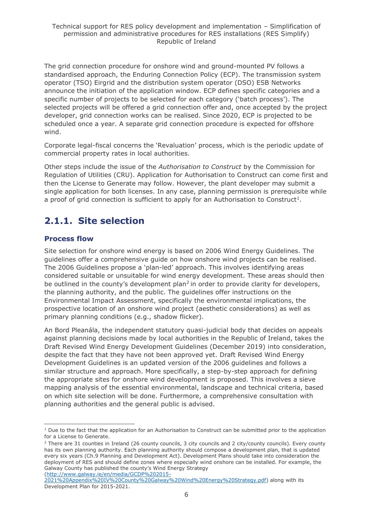The grid connection procedure for onshore wind and ground-mounted PV follows a standardised approach, the Enduring Connection Policy (ECP). The transmission system operator (TSO) Eirgrid and the distribution system operator (DSO) ESB Networks announce the initiation of the application window. ECP defines specific categories and a specific number of projects to be selected for each category ('batch process'). The selected projects will be offered a grid connection offer and, once accepted by the project developer, grid connection works can be realised. Since 2020, ECP is projected to be scheduled once a year. A separate grid connection procedure is expected for offshore wind.

Corporate legal-fiscal concerns the 'Revaluation' process, which is the periodic update of commercial property rates in local authorities.

Other steps include the issue of the *Authorisation to Construct* by the Commission for Regulation of Utilities (CRU). Application for Authorisation to Construct can come first and then the License to Generate may follow. However, the plant developer may submit a single application for both licenses. In any case, planning permission is prerequisite while a proof of grid connection is sufficient to apply for an Authorisation to Construct<sup>1</sup>.

# <span id="page-5-0"></span>**2.1.1. Site selection**

### **Process flow**

Site selection for onshore wind energy is based on 2006 Wind Energy Guidelines. The guidelines offer a comprehensive guide on how onshore wind projects can be realised. The 2006 Guidelines propose a 'plan-led' approach. This involves identifying areas considered suitable or unsuitable for wind energy development. These areas should then be outlined in the county's development plan<sup>2</sup> in order to provide clarity for developers, the planning authority, and the public. The guidelines offer instructions on the Environmental Impact Assessment, specifically the environmental implications, the prospective location of an onshore wind project (aesthetic considerations) as well as primary planning conditions (e.g., shadow flicker).

An Bord Pleanála, the independent statutory quasi-judicial body that decides on appeals against planning decisions made by local authorities in the Republic of Ireland, takes the Draft Revised Wind Energy Development Guidelines (December 2019) into consideration, despite the fact that they have not been approved yet. Draft Revised Wind Energy Development Guidelines is an updated version of the 2006 guidelines and follows a similar structure and approach. More specifically, a step-by-step approach for defining the appropriate sites for onshore wind development is proposed. This involves a sieve mapping analysis of the essential environmental, landscape and technical criteria, based on which site selection will be done. Furthermore, a comprehensive consultation with planning authorities and the general public is advised.

[\(http://www.galway.ie/en/media/GCDP%202015-](http://www.galway.ie/en/media/GCDP%202015-2021%20Appendix%20IV%20County%20Galway%20Wind%20Energy%20Strategy.pdf)

 $1$  Due to the fact that the application for an Authorisation to Construct can be submitted prior to the application for a License to Generate.

 $2$  There are 31 counties in Ireland (26 county councils, 3 city councils and 2 city/county councils). Every county has its own planning authority. Each planning authority should compose a development plan, that is updated every six years (Ch.9 Planning and Development Act). Development Plans should take into consideration the deployment of RES and should define zones where especially wind onshore can be installed. For example, the Galway County has published the county's Wind Energy Strategy

[<sup>2021%20</sup>Appendix%20IV%20County%20Galway%20Wind%20Energy%20Strategy.pdf\)](http://www.galway.ie/en/media/GCDP%202015-2021%20Appendix%20IV%20County%20Galway%20Wind%20Energy%20Strategy.pdf) along with its Development Plan for 2015-2021.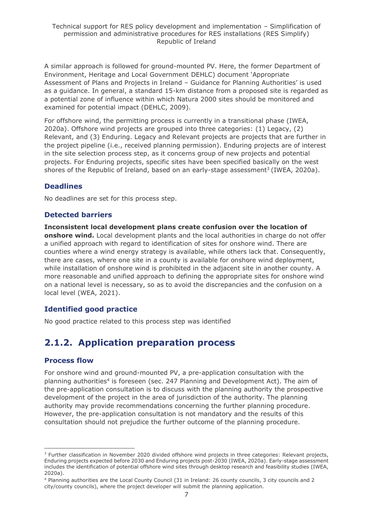A similar approach is followed for ground-mounted PV. Here, the former Department of Environment, Heritage and Local Government DEHLC) document 'Appropriate Assessment of Plans and Projects in Ireland – Guidance for Planning Authorities' is used as a guidance. In general, a standard 15-km distance from a proposed site is regarded as a potential zone of influence within which Natura 2000 sites should be monitored and examined for potential impact (DEHLC, 2009).

For offshore wind, the permitting process is currently in a transitional phase (IWEA, 2020a). Offshore wind projects are grouped into three categories: (1) Legacy, (2) Relevant, and (3) Enduring. Legacy and Relevant projects are projects that are further in the project pipeline (i.e., received planning permission). Enduring projects are of interest in the site selection process step, as it concerns group of new projects and potential projects. For Enduring projects, specific sites have been specified basically on the west shores of the Republic of Ireland, based on an early-stage assessment<sup>3</sup> (IWEA, 2020a).

### **Deadlines**

No deadlines are set for this process step.

### **Detected barriers**

**Inconsistent local development plans create confusion over the location of onshore wind.** Local development plants and the local authorities in charge do not offer a unified approach with regard to identification of sites for onshore wind. There are counties where a wind energy strategy is available, while others lack that. Consequently, there are cases, where one site in a county is available for onshore wind deployment, while installation of onshore wind is prohibited in the adjacent site in another county. A more reasonable and unified approach to defining the appropriate sites for onshore wind on a national level is necessary, so as to avoid the discrepancies and the confusion on a local level (WEA, 2021).

#### **Identified good practice**

No good practice related to this process step was identified

# <span id="page-6-0"></span>**2.1.2. Application preparation process**

#### **Process flow**

For onshore wind and ground-mounted PV, a pre-application consultation with the planning authorities<sup>4</sup> is foreseen (sec. 247 Planning and Development Act). The aim of the pre-application consultation is to discuss with the planning authority the prospective development of the project in the area of jurisdiction of the authority. The planning authority may provide recommendations concerning the further planning procedure. However, the pre-application consultation is not mandatory and the results of this consultation should not prejudice the further outcome of the planning procedure.

<sup>&</sup>lt;sup>3</sup> Further classification in November 2020 divided offshore wind projects in three categories: Relevant projects, Enduring projects expected before 2030 and Enduring projects post-2030 (IWEA, 2020a). Early-stage assessment includes the identification of potential offshore wind sites through desktop research and feasibility studies (IWEA, 2020a).

<sup>4</sup> Planning authorities are the Local County Council (31 in Ireland: 26 county councils, 3 city councils and 2 city/county councils), where the project developer will submit the planning application.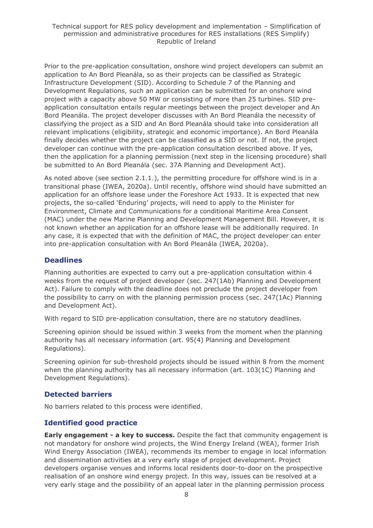#### Technical support for RES policy development and implementation – Simplification of permission and administrative procedures for RES installations (RES Simplify) Republic of Ireland

Prior to the pre-application consultation, onshore wind project developers can submit an application to An Bord Pleanála, so as their projects can be classified as Strategic Infrastructure Development (SID). According to Schedule 7 of the Planning and Development Regulations, such an application can be submitted for an onshore wind project with a capacity above 50 MW or consisting of more than 25 turbines. SID preapplication consultation entails regular meetings between the project developer and An Bord Pleanála. The project developer discusses with An Bord Pleanála the necessity of classifying the project as a SID and An Bord Pleanála should take into consideration all relevant implications (eligibility, strategic and economic importance). An Bord Pleanála finally decides whether the project can be classified as a SID or not. If not, the project developer can continue with the pre-application consultation described above. If yes, then the application for a planning permission (next step in the licensing procedure) shall be submitted to An Bord Pleanála (sec. 37A Planning and Development Act).

As noted above (see section 2.1.1.), the permitting procedure for offshore wind is in a transitional phase (IWEA, 2020a). Until recently, offshore wind should have submitted an application for an offshore lease under the Foreshore Act 1933. It is expected that new projects, the so-called 'Enduring' projects, will need to apply to the Minister for Environment, Climate and Communications for a conditional Maritime Area Consent (MAC) under the new Marine Planning and Development Management Bill. However, it is not known whether an application for an offshore lease will be additionally required. In any case, it is expected that with the definition of MAC, the project developer can enter into pre-application consultation with An Bord Pleanála (IWEA, 2020a).

#### **Deadlines**

Planning authorities are expected to carry out a pre-application consultation within 4 weeks from the request of project developer (sec. 247(1Ab) Planning and Development Act). Failure to comply with the deadline does not preclude the project developer from the possibility to carry on with the planning permission process (sec. 247(1Ac) Planning and Development Act).

With regard to SID pre-application consultation, there are no statutory deadlines.

Screening opinion should be issued within 3 weeks from the moment when the planning authority has all necessary information (art. 95(4) Planning and Development Regulations).

Screening opinion for sub-threshold projects should be issued within 8 from the moment when the planning authority has all necessary information (art. 103(1C) Planning and Development Regulations).

#### **Detected barriers**

No barriers related to this process were identified.

#### **Identified good practice**

**Early engagement - a key to success.** Despite the fact that community engagement is not mandatory for onshore wind projects, the Wind Energy Ireland (WEA), former Irish Wind Energy Association (IWEA), recommends its member to engage in local information and dissemination activities at a very early stage of project development. Project developers organise venues and informs local residents door-to-door on the prospective realisation of an onshore wind energy project. In this way, issues can be resolved at a very early stage and the possibility of an appeal later in the planning permission process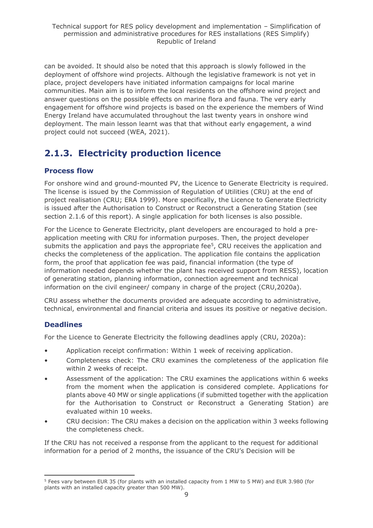can be avoided. It should also be noted that this approach is slowly followed in the deployment of offshore wind projects. Although the legislative framework is not yet in place, project developers have initiated information campaigns for local marine communities. Main aim is to inform the local residents on the offshore wind project and answer questions on the possible effects on marine flora and fauna. The very early engagement for offshore wind projects is based on the experience the members of Wind Energy Ireland have accumulated throughout the last twenty years in onshore wind deployment. The main lesson learnt was that that without early engagement, a wind project could not succeed (WEA, 2021).

# <span id="page-8-0"></span>**2.1.3. Electricity production licence**

### **Process flow**

For onshore wind and ground-mounted PV, the Licence to Generate Electricity is required. The license is issued by the Commission of Regulation of Utilities (CRU) at the end of project realisation (CRU; ERA 1999). More specifically, the Licence to Generate Electricity is issued after the Authorisation to Construct or Reconstruct a Generating Station (see section 2.1.6 of this report). A single application for both licenses is also possible.

For the Licence to Generate Electricity, plant developers are encouraged to hold a preapplication meeting with CRU for information purposes. Then, the project developer submits the application and pays the appropriate fee<sup>5</sup>, CRU receives the application and checks the completeness of the application. The application file contains the application form, the proof that application fee was paid, financial information (the type of information needed depends whether the plant has received support from RESS), location of generating station, planning information, connection agreement and technical information on the civil engineer/ company in charge of the project (CRU,2020a).

CRU assess whether the documents provided are adequate according to administrative, technical, environmental and financial criteria and issues its positive or negative decision.

# **Deadlines**

For the Licence to Generate Electricity the following deadlines apply (CRU, 2020a):

- Application receipt confirmation: Within 1 week of receiving application.
- Completeness check: The CRU examines the completeness of the application file within 2 weeks of receipt.
- Assessment of the application: The CRU examines the applications within 6 weeks from the moment when the application is considered complete. Applications for plants above 40 MW or single applications (if submitted together with the application for the Authorisation to Construct or Reconstruct a Generating Station) are evaluated within 10 weeks.
- CRU decision: The CRU makes a decision on the application within 3 weeks following the completeness check.

If the CRU has not received a response from the applicant to the request for additional information for a period of 2 months, the issuance of the CRU's Decision will be

<sup>5</sup> Fees vary between EUR 35 (for plants with an installed capacity from 1 MW to 5 MW) and EUR 3.980 (for plants with an installed capacity greater than 500 MW).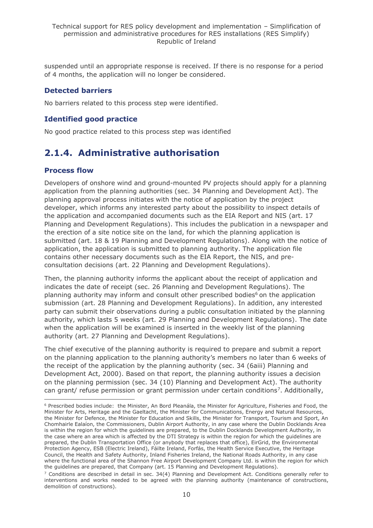suspended until an appropriate response is received. If there is no response for a period of 4 months, the application will no longer be considered.

### **Detected barriers**

No barriers related to this process step were identified.

### **Identified good practice**

No good practice related to this process step was identified

# <span id="page-9-0"></span>**2.1.4. Administrative authorisation**

### **Process flow**

Developers of onshore wind and ground-mounted PV projects should apply for a planning application from the planning authorities (sec. 34 Planning and Development Act). The planning approval process initiates with the notice of application by the project developer, which informs any interested party about the possibility to inspect details of the application and accompanied documents such as the EIA Report and NIS (art. 17 Planning and Development Regulations). This includes the publication in a newspaper and the erection of a site notice site on the land, for which the planning application is submitted (art. 18 & 19 Planning and Development Regulations). Along with the notice of application, the application is submitted to planning authority. The application file contains other necessary documents such as the EIA Report, the NIS, and preconsultation decisions (art. 22 Planning and Development Regulations).

Then, the planning authority informs the applicant about the receipt of application and indicates the date of receipt (sec. 26 Planning and Development Regulations). The planning authority may inform and consult other prescribed bodies<sup>6</sup> on the application submission (art. 28 Planning and Development Regulations). In addition, any interested party can submit their observations during a public consultation initiated by the planning authority, which lasts 5 weeks (art. 29 Planning and Development Regulations). The date when the application will be examined is inserted in the weekly list of the planning authority (art. 27 Planning and Development Regulations).

The chief executive of the planning authority is required to prepare and submit a report on the planning application to the planning authority's members no later than 6 weeks of the receipt of the application by the planning authority (sec. 34 (6aiii) Planning and Development Act, 2000). Based on that report, the planning authority issues a decision on the planning permission (sec. 34 (10) Planning and Development Act). The authority can grant/ refuse permission or grant permission under certain conditions<sup>7</sup>. Additionally,

<sup>6</sup> Prescribed bodies include: the Minister, An Bord Pleanála, the Minister for Agriculture, Fisheries and Food, the Minister for Arts, Heritage and the Gaeltacht, the Minister for Communications, Energy and Natural Resources, the Minister for Defence, the Minister for Education and Skills, the Minister for Transport, Tourism and Sport, An Chomhairle Ealaíon, the Commissioners, Dublin Airport Authority, in any case where the Dublin Docklands Area is within the region for which the guidelines are prepared, to the Dublin Docklands Development Authority, in the case where an area which is affected by the DTI Strategy is within the region for which the guidelines are prepared, the Dublin Transportation Office (or anybody that replaces that office), EirGrid, the Environmental Protection Agency, ESB (Electric Ireland), Fáilte Ireland, Forfás, the Health Service Executive, the Heritage Council, the Health and Safety Authority, Inland Fisheries Ireland, the National Roads Authority, in any case where the functional area of the Shannon Free Airport Development Company Ltd. is within the region for which the guidelines are prepared, that Company (art. 15 Planning and Development Regulations).

 $7$  Conditions are described in detail in sec. 34(4) Planning and Development Act. Conditions generally refer to interventions and works needed to be agreed with the planning authority (maintenance of constructions, demolition of constructions).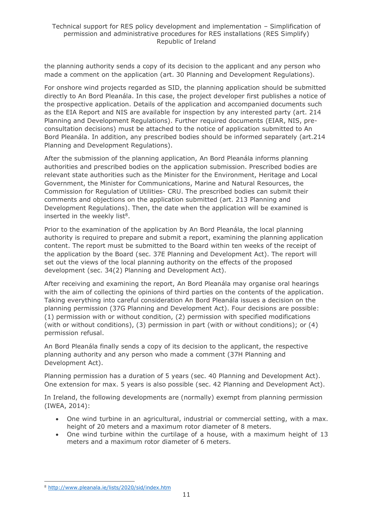the planning authority sends a copy of its decision to the applicant and any person who made a comment on the application (art. 30 Planning and Development Regulations).

For onshore wind projects regarded as SID, the planning application should be submitted directly to An Bord Pleanála. In this case, the project developer first publishes a notice of the prospective application. Details of the application and accompanied documents such as the EIA Report and NIS are available for inspection by any interested party (art. 214 Planning and Development Regulations). Further required documents (EIAR, NIS, preconsultation decisions) must be attached to the notice of application submitted to An Bord Pleanála. In addition, any prescribed bodies should be informed separately (art.214 Planning and Development Regulations).

After the submission of the planning application, An Bord Pleanála informs planning authorities and prescribed bodies on the application submission. Prescribed bodies are relevant state authorities such as the Minister for the Environment, Heritage and Local Government, the Minister for Communications, Marine and Natural Resources, the Commission for Regulation of Utilities- CRU. The prescribed bodies can submit their comments and objections on the application submitted (art. 213 Planning and Development Regulations). Then, the date when the application will be examined is inserted in the weekly list<sup>8</sup>.

Prior to the examination of the application by An Bord Pleanála, the local planning authority is required to prepare and submit a report, examining the planning application content. The report must be submitted to the Board within ten weeks of the receipt of the application by the Board (sec. 37E Planning and Development Act). The report will set out the views of the local planning authority on the effects of the proposed development (sec. 34(2) Planning and Development Act).

After receiving and examining the report, An Bord Pleanála may organise oral hearings with the aim of collecting the opinions of third parties on the contents of the application. Taking everything into careful consideration An Bord Pleanála issues a decision on the planning permission (37G Planning and Development Act). Four decisions are possible: (1) permission with or without condition, (2) permission with specified modifications (with or without conditions), (3) permission in part (with or without conditions); or (4) permission refusal.

An Bord Pleanála finally sends a copy of its decision to the applicant, the respective planning authority and any person who made a comment (37H Planning and Development Act).

Planning permission has a duration of 5 years (sec. 40 Planning and Development Act). One extension for max. 5 years is also possible (sec. 42 Planning and Development Act).

In Ireland, the following developments are (normally) exempt from planning permission (IWEA, 2014):

- One wind turbine in an agricultural, industrial or commercial setting, with a max. height of 20 meters and a maximum rotor diameter of 8 meters.
- One wind turbine within the curtilage of a house, with a maximum height of 13 meters and a maximum rotor diameter of 6 meters.

<sup>8</sup> <http://www.pleanala.ie/lists/2020/sid/index.htm>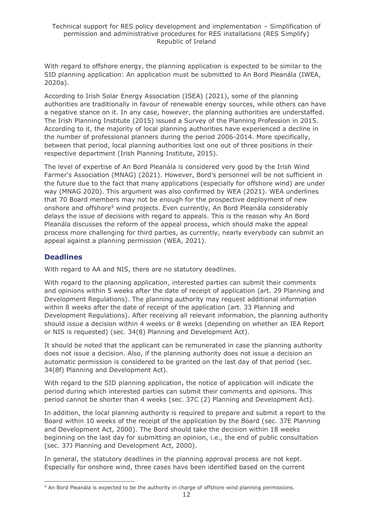With regard to offshore energy, the planning application is expected to be similar to the SID planning application: An application must be submitted to An Bord Pleanála (IWEA, 2020a).

According to Irish Solar Energy Association (ISEA) (2021), some of the planning authorities are traditionally in favour of renewable energy sources, while others can have a negative stance on it. In any case, however, the planning authorities are understaffed. The Irish Planning Institute (2015) issued a Survey of the Planning Profession in 2015. According to it, the majority of local planning authorities have experienced a decline in the number of professional planners during the period 2006-2014. More specifically, between that period, local planning authorities lost one out of three positions in their respective department (Irish Planning Institute, 2015).

The level of expertise of An Bord Pleanála is considered very good by the Irish Wind Farmer's Association (MNAG) (2021). However, Bord's personnel will be not sufficient in the future due to the fact that many applications (especially for offshore wind) are under way (MNAG 2020). This argument was also confirmed by WEA (2021). WEA underlines that 70 Board members may not be enough for the prospective deployment of new onshore and offshore<sup>9</sup> wind projects. Even currently, An Bord Pleanála considerably delays the issue of decisions with regard to appeals. This is the reason why An Bord Pleanála discusses the reform of the appeal process, which should make the appeal process more challenging for third parties, as currently, nearly everybody can submit an appeal against a planning permission (WEA, 2021).

### **Deadlines**

With regard to AA and NIS, there are no statutory deadlines.

With regard to the planning application, interested parties can submit their comments and opinions within 5 weeks after the date of receipt of application (art. 29 Planning and Development Regulations). The planning authority may request additional information within 8 weeks after the date of receipt of the application (art. 33 Planning and Development Regulations). After receiving all relevant information, the planning authority should issue a decision within 4 weeks or 8 weeks (depending on whether an IEA Report or NIS is requested) (sec. 34(8) Planning and Development Act).

It should be noted that the applicant can be remunerated in case the planning authority does not issue a decision. Also, if the planning authority does not issue a decision an automatic permission is considered to be granted on the last day of that period (sec. 34(8f) Planning and Development Act).

With regard to the SID planning application, the notice of application will indicate the period during which interested parties can submit their comments and opinions. This period cannot be shorter than 4 weeks (sec. 37C (2) Planning and Development Act).

In addition, the local planning authority is required to prepare and submit a report to the Board within 10 weeks of the receipt of the application by the Board (sec. 37E Planning and Development Act, 2000). The Bord should take the decision within 18 weeks beginning on the last day for submitting an opinion, i.e., the end of public consultation (sec. 37J Planning and Development Act, 2000).

In general, the statutory deadlines in the planning approval process are not kept. Especially for onshore wind, three cases have been identified based on the current

<sup>&</sup>lt;sup>9</sup> An Bord Pleanála is expected to be the authority in charge of offshore wind planning permissions.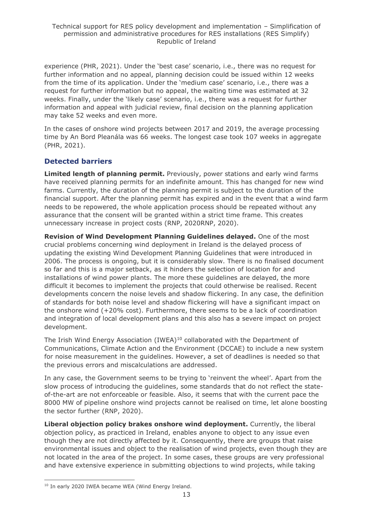experience (PHR, 2021). Under the 'best case' scenario, i.e., there was no request for further information and no appeal, planning decision could be issued within 12 weeks from the time of its application. Under the 'medium case' scenario, i.e., there was a request for further information but no appeal, the waiting time was estimated at 32 weeks. Finally, under the 'likely case' scenario, i.e., there was a request for further information and appeal with judicial review, final decision on the planning application may take 52 weeks and even more.

In the cases of onshore wind projects between 2017 and 2019, the average processing time by An Bord Pleanála was 66 weeks. The longest case took 107 weeks in aggregate (PHR, 2021).

# **Detected barriers**

**Limited length of planning permit.** Previously, power stations and early wind farms have received planning permits for an indefinite amount. This has changed for new wind farms. Currently, the duration of the planning permit is subject to the duration of the financial support. After the planning permit has expired and in the event that a wind farm needs to be repowered, the whole application process should be repeated without any assurance that the consent will be granted within a strict time frame. This creates unnecessary increase in project costs (RNP, 2020RNP, 2020).

**Revision of Wind Development Planning Guidelines delayed.** One of the most crucial problems concerning wind deployment in Ireland is the delayed process of updating the existing Wind Development Planning Guidelines that were introduced in 2006. The process is ongoing, but it is considerably slow. There is no finalised document so far and this is a major setback, as it hinders the selection of location for and installations of wind power plants. The more these guidelines are delayed, the more difficult it becomes to implement the projects that could otherwise be realised. Recent developments concern the noise levels and shadow flickering. In any case, the definition of standards for both noise level and shadow flickering will have a significant impact on the onshore wind (+20% cost). Furthermore, there seems to be a lack of coordination and integration of local development plans and this also has a severe impact on project development.

The Irish Wind Energy Association (IWEA)<sup>10</sup> collaborated with the Department of Communications, Climate Action and the Environment (DCCAE) to include a new system for noise measurement in the guidelines. However, a set of deadlines is needed so that the previous errors and miscalculations are addressed.

In any case, the Government seems to be trying to 'reinvent the wheel'. Apart from the slow process of introducing the guidelines, some standards that do not reflect the stateof-the-art are not enforceable or feasible. Also, it seems that with the current pace the 8000 MW of pipeline onshore wind projects cannot be realised on time, let alone boosting the sector further (RNP, 2020).

**Liberal objection policy brakes onshore wind deployment.** Currently, the liberal objection policy, as practiced in Ireland, enables anyone to object to any issue even though they are not directly affected by it. Consequently, there are groups that raise environmental issues and object to the realisation of wind projects, even though they are not located in the area of the project. In some cases, these groups are very professional and have extensive experience in submitting objections to wind projects, while taking

<sup>&</sup>lt;sup>10</sup> In early 2020 IWEA became WEA (Wind Energy Ireland.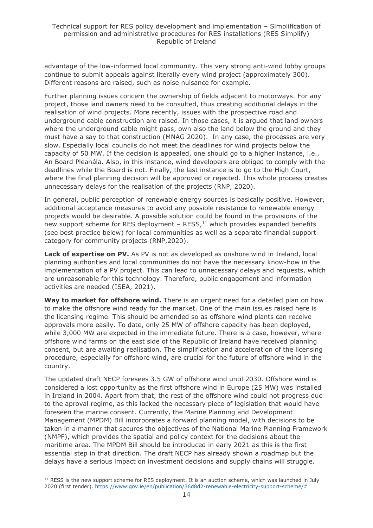advantage of the low-informed local community. This very strong anti-wind lobby groups continue to submit appeals against literally every wind project (approximately 300). Different reasons are raised, such as noise nuisance for example.

Further planning issues concern the ownership of fields adjacent to motorways. For any project, those land owners need to be consulted, thus creating additional delays in the realisation of wind projects. More recently, issues with the prospective road and underground cable construction are raised. In those cases, it is argued that land owners where the underground cable might pass, own also the land below the ground and they must have a say to that construction (MNAG 2020). In any case, the processes are very slow. Especially local councils do not meet the deadlines for wind projects below the capacity of 50 MW. If the decision is appealed, one should go to a higher instance, i.e., An Board Pleanála. Also, in this instance, wind developers are obliged to comply with the deadlines while the Board is not. Finally, the last instance is to go to the High Court, where the final planning decision will be approved or rejected. This whole process creates unnecessary delays for the realisation of the projects (RNP, 2020).

In general, public perception of renewable energy sources is basically positive. However, additional acceptance measures to avoid any possible resistance to renewable energy projects would be desirable. A possible solution could be found in the provisions of the new support scheme for RES deployment - RESS,<sup>11</sup> which provides expanded benefits (see best practice below) for local communities as well as a separate financial support category for community projects (RNP,2020).

Lack of expertise on PV. As PV is not as developed as onshore wind in Ireland, local planning authorities and local communities do not have the necessary know-how in the implementation of a PV project. This can lead to unnecessary delays and requests, which are unreasonable for this technology. Therefore, public engagement and information activities are needed (ISEA, 2021).

Way to market for offshore wind. There is an urgent need for a detailed plan on how to make the offshore wind ready for the market. One of the main issues raised here is the licensing regime. This should be amended so as offshore wind plants can receive approvals more easily. To date, only 25 MW of offshore capacity has been deployed, while 3,000 MW are expected in the immediate future. There is a case, however, where offshore wind farms on the east side of the Republic of Ireland have received planning consent, but are awaiting realisation. The simplification and acceleration of the licensing procedure, especially for offshore wind, are crucial for the future of offshore wind in the country.

The updated draft NECP foresees 3.5 GW of offshore wind until 2030. Offshore wind is considered a lost opportunity as the first offshore wind in Europe (25 MW) was installed in Ireland in 2004. Apart from that, the rest of the offshore wind could not progress due to the aproval regime, as this lacked the necessary piece of legislation that would have foreseen the marine consent. Currently, the Marine Planning and Development Management (MPDM) Bill incorporates a forward planning model, with decisions to be taken in a manner that secures the objectives of the National Marine Planning Framework (NMPF), which provides the spatial and policy context for the decisions about the maritime area. The MPDM Bill should be introduced in early 2021 as this is the first essential step in that direction. The draft NECP has already shown a roadmap but the delays have a serious impact on investment decisions and supply chains will struggle.

 $11$  RESS is the new support scheme for RES deployment. It is an auction scheme, which was launched in July 2020 (first tender). [https://www.gov.ie/en/publication/36d8d2-renewable-electricity-support-scheme/#](https://www.gov.ie/en/publication/36d8d2-renewable-electricity-support-scheme/)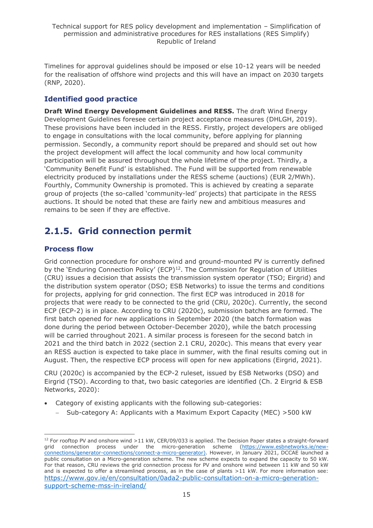Timelines for approval guidelines should be imposed or else 10-12 years will be needed for the realisation of offshore wind projects and this will have an impact on 2030 targets (RNP, 2020).

## **Identified good practice**

**Draft Wind Energy Development Guidelines and RESS.** The draft Wind Energy Development Guidelines foresee certain project acceptance measures (DHLGH, 2019). These provisions have been included in the RESS. Firstly, project developers are obliged to engage in consultations with the local community, before applying for planning permission. Secondly, a community report should be prepared and should set out how the project development will affect the local community and how local community participation will be assured throughout the whole lifetime of the project. Thirdly, a 'Community Benefit Fund' is established. The Fund will be supported from renewable electricity produced by installations under the RESS scheme (auctions) (EUR 2/MWh). Fourthly, Community Ownership is promoted. This is achieved by creating a separate group of projects (the so-called 'community-led' projects) that participate in the RESS auctions. It should be noted that these are fairly new and ambitious measures and remains to be seen if they are effective.

# <span id="page-14-0"></span>**2.1.5. Grid connection permit**

### **Process flow**

Grid connection procedure for onshore wind and ground-mounted PV is currently defined by the 'Enduring Connection Policy' (ECP)<sup>12</sup>. The Commission for Regulation of Utilities (CRU) issues a decision that assists the transmission system operator (TSO; Eirgrid) and the distribution system operator (DSO; ESB Networks) to issue the terms and conditions for projects, applying for grid connection. The first ECP was introduced in 2018 for projects that were ready to be connected to the grid (CRU, 2020c). Currently, the second ECP (ECP-2) is in place. According to CRU (2020c), submission batches are formed. The first batch opened for new applications in September 2020 (the batch formation was done during the period between October-December 2020), while the batch processing will be carried throughout 2021. A similar process is foreseen for the second batch in 2021 and the third batch in 2022 (section 2.1 CRU, 2020c). This means that every year an RESS auction is expected to take place in summer, with the final results coming out in August. Then, the respective ECP process will open for new applications (Eirgrid, 2021).

CRU (2020c) is accompanied by the ECP-2 ruleset, issued by ESB Networks (DSO) and Eirgrid (TSO). According to that, two basic categories are identified (Ch. 2 Eirgrid & ESB Networks, 2020):

- Category of existing applicants with the following sub-categories:
	- − Sub-category A: Applicants with a Maximum Export Capacity (MEC) >500 kW

 $12$  For rooftop PV and onshore wind >11 kW, CER/09/033 is applied. The Decision Paper states a straight-forward grid connection process under the micro-generation scheme [\(https://www.esbnetworks.ie/new](https://www.esbnetworks.ie/new-connections/generator-connections/connect-a-micro-generator)[connections/generator-connections/connect-a-micro-generator\)](https://www.esbnetworks.ie/new-connections/generator-connections/connect-a-micro-generator). However, in January 2021, DCCAE launched a public consultation on a Micro-generation scheme. The new scheme expects to expand the capacity to 50 kW. For that reason, CRU reviews the grid connection process for PV and onshore wind between 11 kW and 50 kW and is expected to offer a streamlined process, as in the case of plants >11 kW. For more information see: [https://www.gov.ie/en/consultation/0ada2-public-consultation-on-a-micro-generation](https://www.gov.ie/en/consultation/0ada2-public-consultation-on-a-micro-generation-support-scheme-mss-in-ireland/)[support-scheme-mss-in-ireland/](https://www.gov.ie/en/consultation/0ada2-public-consultation-on-a-micro-generation-support-scheme-mss-in-ireland/)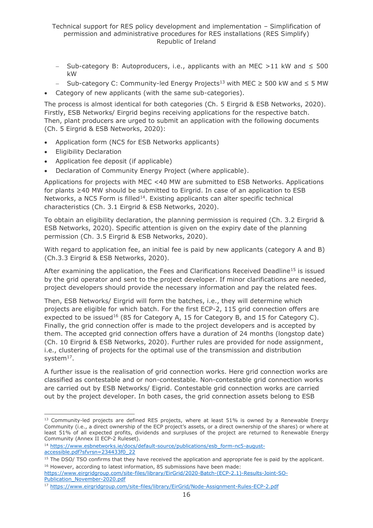- − Sub-category B: Autoproducers, i.e., applicants with an MEC >11 kW and ≤ 500 kW
- Sub-category C: Community-led Energy Projects<sup>13</sup> with MEC ≥ 500 kW and ≤ 5 MW
- Category of new applicants (with the same sub-categories).

The process is almost identical for both categories (Ch. 5 Eirgrid & ESB Networks, 2020). Firstly, ESB Networks/ Eirgrid begins receiving applications for the respective batch. Then, plant producers are urged to submit an application with the following documents (Ch. 5 Eirgrid & ESB Networks, 2020):

- Application form (NC5 for ESB Networks applicants)
- Eligibility Declaration
- Application fee deposit (if applicable)
- Declaration of Community Energy Project (where applicable).

Applications for projects with MEC <40 MW are submitted to ESB Networks. Applications for plants ≥40 MW should be submitted to Eirgrid. In case of an application to ESB Networks, a NC5 Form is filled<sup>14</sup>. Existing applicants can alter specific technical characteristics (Ch. 3.1 Eirgrid & ESB Networks, 2020).

To obtain an eligibility declaration, the planning permission is required (Ch. 3.2 Eirgrid & ESB Networks, 2020). Specific attention is given on the expiry date of the planning permission (Ch. 3.5 Eirgrid & ESB Networks, 2020).

With regard to application fee, an initial fee is paid by new applicants (category A and B) (Ch.3.3 Eirgrid & ESB Networks, 2020).

After examining the application, the Fees and Clarifications Received Deadline<sup>15</sup> is issued by the grid operator and sent to the project developer. If minor clarifications are needed, project developers should provide the necessary information and pay the related fees.

Then, ESB Networks/ Eirgrid will form the batches, i.e., they will determine which projects are eligible for which batch. For the first ECP-2, 115 grid connection offers are expected to be issued<sup>16</sup> (85 for Category A, 15 for Category B, and 15 for Category C). Finally, the grid connection offer is made to the project developers and is accepted by them. The accepted grid connection offers have a duration of 24 months (longstop date) (Ch. 10 Eirgrid & ESB Networks, 2020). Further rules are provided for node assignment, i.e., clustering of projects for the optimal use of the transmission and distribution system $17$ .

A further issue is the realisation of grid connection works. Here grid connection works are classified as contestable and or non-contestable. Non-contestable grid connection works are carried out by ESB Networks/ Eigrid. Contestable grid connection works are carried out by the project developer. In both cases, the grid connection assets belong to ESB

<sup>13</sup> Community-led projects are defined RES projects, where at least 51% is owned by a Renewable Energy Community (i.e., a direct ownership of the ECP project's assets, or a direct ownership of the shares) or where at least 51% of all expected profits, dividends and surpluses of the project are returned to Renewable Energy Community (Annex II ECP-2 Ruleset).

<sup>&</sup>lt;sup>14</sup> [https://www.esbnetworks.ie/docs/default-source/publications/esb\\_form-nc5-august](https://www.esbnetworks.ie/docs/default-source/publications/esb_form-nc5-august-accessible.pdf?sfvrsn=234433f0_22)[accessible.pdf?sfvrsn=234433f0\\_22](https://www.esbnetworks.ie/docs/default-source/publications/esb_form-nc5-august-accessible.pdf?sfvrsn=234433f0_22)

<sup>&</sup>lt;sup>15</sup> The DSO/ TSO confirms that they have received the application and appropriate fee is paid by the applicant. <sup>16</sup> However, according to latest information, 85 submissions have been made:

[https://www.eirgridgroup.com/site-files/library/EirGrid/2020-Batch-\(ECP-2.1\)-Results-Joint-SO-](https://www.eirgridgroup.com/site-files/library/EirGrid/2020-Batch-(ECP-2.1)-Results-Joint-SO-Publication_November-2020.pdf)[Publication\\_November-2020.pdf](https://www.eirgridgroup.com/site-files/library/EirGrid/2020-Batch-(ECP-2.1)-Results-Joint-SO-Publication_November-2020.pdf)

<sup>17</sup> <https://www.eirgridgroup.com/site-files/library/EirGrid/Node-Assignment-Rules-ECP-2.pdf>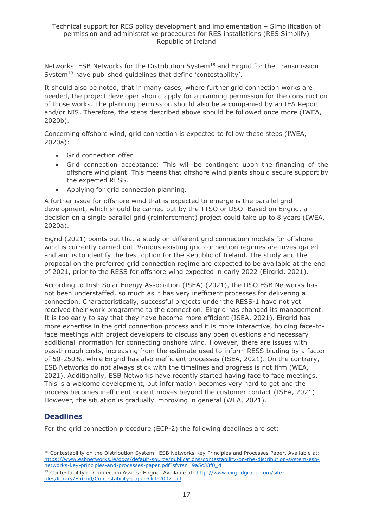Networks. ESB Networks for the Distribution System<sup>18</sup> and Eirgrid for the Transmission System<sup>19</sup> have published quidelines that define 'contestability'.

It should also be noted, that in many cases, where further grid connection works are needed, the project developer should apply for a planning permission for the construction of those works. The planning permission should also be accompanied by an IEA Report and/or NIS. Therefore, the steps described above should be followed once more (IWEA, 2020b).

Concerning offshore wind, grid connection is expected to follow these steps (IWEA, 2020a):

- Grid connection offer
- Grid connection acceptance: This will be contingent upon the financing of the offshore wind plant. This means that offshore wind plants should secure support by the expected RESS.
- Applying for grid connection planning.

A further issue for offshore wind that is expected to emerge is the parallel grid development, which should be carried out by the TTSO or DSO. Based on Eirgrid, a decision on a single parallel grid (reinforcement) project could take up to 8 years (IWEA, 2020a).

Eigrid (2021) points out that a study on different grid connection models for offshore wind is currently carried out. Various existing grid connection regimes are investigated and aim is to identify the best option for the Republic of Ireland. The study and the proposal on the preferred grid connection regime are expected to be available at the end of 2021, prior to the RESS for offshore wind expected in early 2022 (Eirgrid, 2021).

According to Irish Solar Energy Association (ISEA) (2021), the DSO ESB Networks has not been understaffed, so much as it has very inefficient processes for delivering a connection. Characteristically, successful projects under the RESS-1 have not yet received their work programme to the connection. Eirgrid has changed its management. It is too early to say that they have become more efficient (ISEA, 2021). Eirgrid has more expertise in the grid connection process and it is more interactive, holding face-toface meetings with project developers to discuss any open questions and necessary additional information for connecting onshore wind. However, there are issues with passthrough costs, increasing from the estimate used to inform RESS bidding by a factor of 50-250%, while Eirgrid has also inefficient processes (ISEA, 2021). On the contrary, ESB Networks do not always stick with the timelines and progress is not firm (WEA, 2021). Additionally, ESB Networks have recently started having face to face meetings. This is a welcome development, but information becomes very hard to get and the process becomes inefficient once it moves beyond the customer contact (ISEA, 2021). However, the situation is gradually improving in general (WEA, 2021).

### **Deadlines**

For the grid connection procedure (ECP-2) the following deadlines are set:

<sup>18</sup> Contestability on the Distribution System- ESB Networks Key Principles and Processes Paper. Available at: [https://www.esbnetworks.ie/docs/default-source/publications/contestability-on-the-distribution-system-esb](https://www.esbnetworks.ie/docs/default-source/publications/contestability-on-the-distribution-system-esb-networks-key-principles-and-processes-paper.pdf?sfvrsn=9a5c33f0_4)[networks-key-principles-and-processes-paper.pdf?sfvrsn=9a5c33f0\\_4](https://www.esbnetworks.ie/docs/default-source/publications/contestability-on-the-distribution-system-esb-networks-key-principles-and-processes-paper.pdf?sfvrsn=9a5c33f0_4)

<sup>&</sup>lt;sup>19</sup> Contestability of Connection Assets- Eirgrid. Available at: [http://www.eirgridgroup.com/site](http://www.eirgridgroup.com/site-files/library/EirGrid/Contestability-paper-Oct-2007.pdf)[files/library/EirGrid/Contestability-paper-Oct-2007.pdf](http://www.eirgridgroup.com/site-files/library/EirGrid/Contestability-paper-Oct-2007.pdf)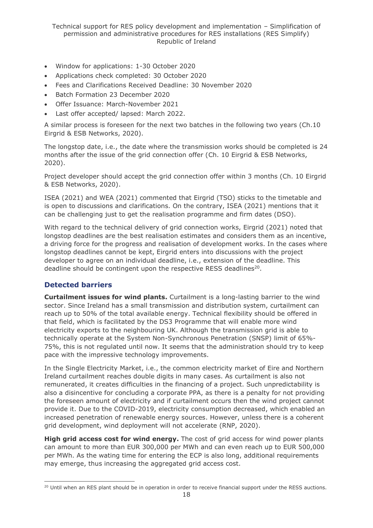Technical support for RES policy development and implementation – Simplification of permission and administrative procedures for RES installations (RES Simplify) Republic of Ireland

- Window for applications: 1-30 October 2020
- Applications check completed: 30 October 2020
- Fees and Clarifications Received Deadline: 30 November 2020
- Batch Formation 23 December 2020
- Offer Issuance: March-November 2021
- Last offer accepted/ lapsed: March 2022.

A similar process is foreseen for the next two batches in the following two years (Ch.10 Eirgrid & ESB Networks, 2020).

The longstop date, i.e., the date where the transmission works should be completed is 24 months after the issue of the grid connection offer (Ch. 10 Eirgrid & ESB Networks, 2020).

Project developer should accept the grid connection offer within 3 months (Ch. 10 Eirgrid & ESB Networks, 2020).

ISEA (2021) and WEA (2021) commented that Eirgrid (TSO) sticks to the timetable and is open to discussions and clarifications. On the contrary, ISEA (2021) mentions that it can be challenging just to get the realisation programme and firm dates (DSO).

With regard to the technical delivery of grid connection works, Eirgrid (2021) noted that longstop deadlines are the best realisation estimates and considers them as an incentive, a driving force for the progress and realisation of development works. In the cases where longstop deadlines cannot be kept, Eirgrid enters into discussions with the project developer to agree on an individual deadline, i.e., extension of the deadline. This deadline should be contingent upon the respective RESS deadlines<sup>20</sup>.

#### **Detected barriers**

**Curtailment issues for wind plants.** Curtailment is a long-lasting barrier to the wind sector. Since Ireland has a small transmission and distribution system, curtailment can reach up to 50% of the total available energy. Technical flexibility should be offered in that field, which is facilitated by the DS3 Programme that will enable more wind electricity exports to the neighbouring UK. Although the transmission grid is able to technically operate at the System Non-Synchronous Penetration (SNSP) limit of 65%- 75%, this is not regulated until now. It seems that the administration should try to keep pace with the impressive technology improvements.

In the Single Electricity Market, i.e., the common electricity market of Eire and Northern Ireland curtailment reaches double digits in many cases. As curtailment is also not remunerated, it creates difficulties in the financing of a project. Such unpredictability is also a disincentive for concluding a corporate PPA, as there is a penalty for not providing the foreseen amount of electricity and if curtailment occurs then the wind project cannot provide it. Due to the COVID-2019, electricity consumption decreased, which enabled an increased penetration of renewable energy sources. However, unless there is a coherent grid development, wind deployment will not accelerate (RNP, 2020).

**High grid access cost for wind energy.** The cost of grid access for wind power plants can amount to more than EUR 300,000 per MWh and can even reach up to EUR 500,000 per MWh. As the wating time for entering the ECP is also long, additional requirements may emerge, thus increasing the aggregated grid access cost.

<sup>&</sup>lt;sup>20</sup> Until when an RES plant should be in operation in order to receive financial support under the RESS auctions.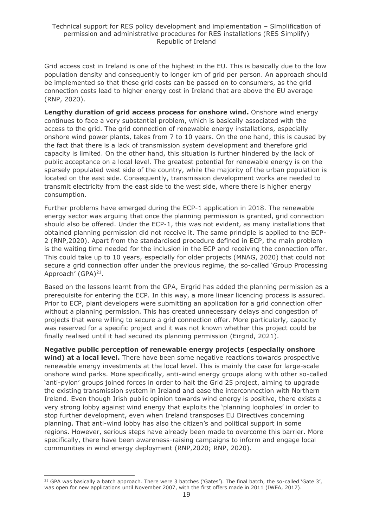Grid access cost in Ireland is one of the highest in the EU. This is basically due to the low population density and consequently to longer km of grid per person. An approach should be implemented so that these grid costs can be passed on to consumers, as the grid connection costs lead to higher energy cost in Ireland that are above the EU average (RNP, 2020).

**Lengthy duration of grid access process for onshore wind.** Onshore wind energy continues to face a very substantial problem, which is basically associated with the access to the grid. The grid connection of renewable energy installations, especially onshore wind power plants, takes from 7 to 10 years. On the one hand, this is caused by the fact that there is a lack of transmission system development and therefore grid capacity is limited. On the other hand, this situation is further hindered by the lack of public acceptance on a local level. The greatest potential for renewable energy is on the sparsely populated west side of the country, while the majority of the urban population is located on the east side. Consequently, transmission development works are needed to transmit electricity from the east side to the west side, where there is higher energy consumption.

Further problems have emerged during the ECP-1 application in 2018. The renewable energy sector was arguing that once the planning permission is granted, grid connection should also be offered. Under the ECP-1, this was not evident, as many installations that obtained planning permission did not receive it. The same principle is applied to the ECP-2 (RNP,2020). Apart from the standardised procedure defined in ECP, the main problem is the waiting time needed for the inclusion in the ECP and receiving the connection offer. This could take up to 10 years, especially for older projects (MNAG, 2020) that could not secure a grid connection offer under the previous regime, the so-called 'Group Processing Approach' (GPA)<sup>21</sup>.

Based on the lessons learnt from the GPA, Eirgrid has added the planning permission as a prerequisite for entering the ECP. In this way, a more linear licencing process is assured. Prior to ECP, plant developers were submitting an application for a grid connection offer without a planning permission. This has created unnecessary delays and congestion of projects that were willing to secure a grid connection offer. More particularly, capacity was reserved for a specific project and it was not known whether this project could be finally realised until it had secured its planning permission (Eirgrid, 2021).

**Negative public perception of renewable energy projects (especially onshore wind) at a local level.** There have been some negative reactions towards prospective renewable energy investments at the local level. This is mainly the case for large-scale onshore wind parks. More specifically, anti-wind energy groups along with other so-called 'anti-pylon' groups joined forces in order to halt the Grid 25 project, aiming to upgrade the existing transmission system in Ireland and ease the interconnection with Northern Ireland. Even though Irish public opinion towards wind energy is positive, there exists a very strong lobby against wind energy that exploits the 'planning loopholes' in order to stop further development, even when Ireland transposes EU Directives concerning planning. That anti-wind lobby has also the citizen's and political support in some regions. However, serious steps have already been made to overcome this barrier. More specifically, there have been awareness-raising campaigns to inform and engage local communities in wind energy deployment (RNP,2020; RNP, 2020).

<sup>&</sup>lt;sup>21</sup> GPA was basically a batch approach. There were 3 batches ('Gates'). The final batch, the so-called 'Gate 3', was open for new applications until November 2007, with the first offers made in 2011 (IWEA, 2017).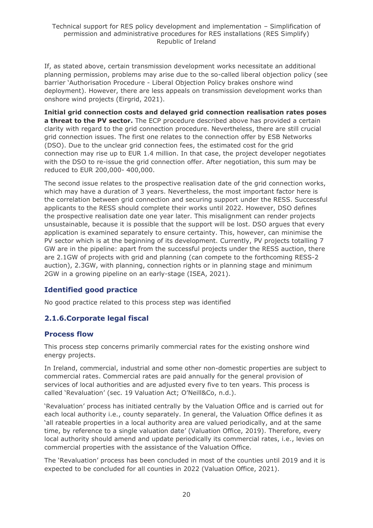If, as stated above, certain transmission development works necessitate an additional planning permission, problems may arise due to the so-called liberal objection policy (see barrier 'Authorisation Procedure - Liberal Objection Policy brakes onshore wind deployment). However, there are less appeals on transmission development works than onshore wind projects (Eirgrid, 2021).

**Initial grid connection costs and delayed grid connection realisation rates poses a threat to the PV sector.** The ECP procedure described above has provided a certain clarity with regard to the grid connection procedure. Nevertheless, there are still crucial grid connection issues. The first one relates to the connection offer by ESB Networks (DSO). Due to the unclear grid connection fees, the estimated cost for the grid connection may rise up to EUR 1.4 million. In that case, the project developer negotiates with the DSO to re-issue the grid connection offer. After negotiation, this sum may be reduced to EUR 200,000- 400,000.

The second issue relates to the prospective realisation date of the grid connection works, which may have a duration of 3 years. Nevertheless, the most important factor here is the correlation between grid connection and securing support under the RESS. Successful applicants to the RESS should complete their works until 2022. However, DSO defines the prospective realisation date one year later. This misalignment can render projects unsustainable, because it is possible that the support will be lost. DSO argues that every application is examined separately to ensure certainty. This, however, can minimise the PV sector which is at the beginning of its development. Currently, PV projects totalling 7 GW are in the pipeline: apart from the successful projects under the RESS auction, there are 2.1GW of projects with grid and planning (can compete to the forthcoming RESS-2 auction), 2.3GW, with planning, connection rights or in planning stage and minimum 2GW in a growing pipeline on an early-stage (ISEA, 2021).

### **Identified good practice**

No good practice related to this process step was identified

### <span id="page-19-0"></span>**2.1.6.Corporate legal fiscal**

#### **Process flow**

This process step concerns primarily commercial rates for the existing onshore wind energy projects.

In Ireland, commercial, industrial and some other non-domestic properties are subject to commercial rates. Commercial rates are paid annually for the general provision of services of local authorities and are adjusted every five to ten years. This process is called 'Revaluation' (sec. 19 Valuation Act; O'Neill&Co, n.d.).

'Revaluation' process has initiated centrally by the Valuation Office and is carried out for each local authority i.e., county separately. In general, the Valuation Office defines it as 'all rateable properties in a local authority area are valued periodically, and at the same time, by reference to a single valuation date' (Valuation Office, 2019). Therefore, every local authority should amend and update periodically its commercial rates, i.e., levies on commercial properties with the assistance of the Valuation Office.

The 'Revaluation' process has been concluded in most of the counties until 2019 and it is expected to be concluded for all counties in 2022 (Valuation Office, 2021).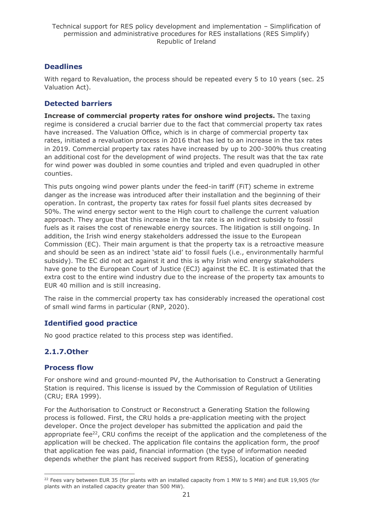### **Deadlines**

With regard to Revaluation, the process should be repeated every 5 to 10 years (sec. 25 Valuation Act).

## **Detected barriers**

**Increase of commercial property rates for onshore wind projects.** The taxing regime is considered a crucial barrier due to the fact that commercial property tax rates have increased. The Valuation Office, which is in charge of commercial property tax rates, initiated a revaluation process in 2016 that has led to an increase in the tax rates in 2019. Commercial property tax rates have increased by up to 200-300% thus creating an additional cost for the development of wind projects. The result was that the tax rate for wind power was doubled in some counties and tripled and even quadrupled in other counties.

This puts ongoing wind power plants under the feed-in tariff (FiT) scheme in extreme danger as the increase was introduced after their installation and the beginning of their operation. In contrast, the property tax rates for fossil fuel plants sites decreased by 50%. The wind energy sector went to the High court to challenge the current valuation approach. They argue that this increase in the tax rate is an indirect subsidy to fossil fuels as it raises the cost of renewable energy sources. The litigation is still ongoing. In addition, the Irish wind energy stakeholders addressed the issue to the European Commission (EC). Their main argument is that the property tax is a retroactive measure and should be seen as an indirect 'state aid' to fossil fuels (i.e., environmentally harmful subsidy). The EC did not act against it and this is why Irish wind energy stakeholders have gone to the European Court of Justice (ECJ) against the EC. It is estimated that the extra cost to the entire wind industry due to the increase of the property tax amounts to EUR 40 million and is still increasing.

The raise in the commercial property tax has considerably increased the operational cost of small wind farms in particular (RNP, 2020).

### **Identified good practice**

No good practice related to this process step was identified.

### <span id="page-20-0"></span>**2.1.7.Other**

#### **Process flow**

For onshore wind and ground-mounted PV, the Authorisation to Construct a Generating Station is required. This license is issued by the Commission of Regulation of Utilities (CRU; ERA 1999).

For the Authorisation to Construct or Reconstruct a Generating Station the following process is followed. First, the CRU holds a pre-application meeting with the project developer. Once the project developer has submitted the application and paid the appropriate fee<sup>22</sup>, CRU confims the receipt of the application and the completeness of the application will be checked. The application file contains the application form, the proof that application fee was paid, financial information (the type of information needed depends whether the plant has received support from RESS), location of generating

 $22$  Fees vary between EUR 35 (for plants with an installed capacity from 1 MW to 5 MW) and EUR 19,905 (for plants with an installed capacity greater than 500 MW).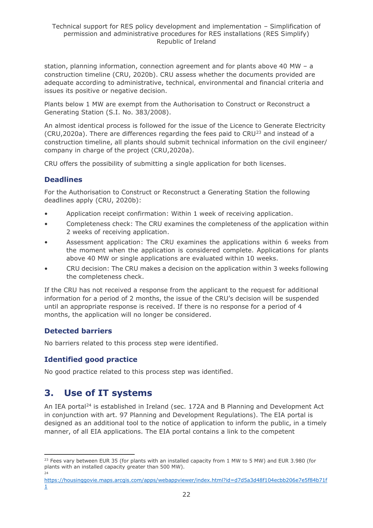station, planning information, connection agreement and for plants above 40 MW – a construction timeline (CRU, 2020b). CRU assess whether the documents provided are adequate according to administrative, technical, environmental and financial criteria and issues its positive or negative decision.

Plants below 1 MW are exempt from the Authorisation to Construct or Reconstruct a Generating Station (S.I. No. 383/2008).

An almost identical process is followed for the issue of the Licence to Generate Electricity (CRU,2020a). There are differences regarding the fees paid to CRU<sup>23</sup> and instead of a construction timeline, all plants should submit technical information on the civil engineer/ company in charge of the project (CRU,2020a).

CRU offers the possibility of submitting a single application for both licenses.

### **Deadlines**

For the Authorisation to Construct or Reconstruct a Generating Station the following deadlines apply (CRU, 2020b):

- Application receipt confirmation: Within 1 week of receiving application.
- Completeness check: The CRU examines the completeness of the application within 2 weeks of receiving application.
- Assessment application: The CRU examines the applications within 6 weeks from the moment when the application is considered complete. Applications for plants above 40 MW or single applications are evaluated within 10 weeks.
- CRU decision: The CRU makes a decision on the application within 3 weeks following the completeness check.

If the CRU has not received a response from the applicant to the request for additional information for a period of 2 months, the issue of the CRU's decision will be suspended until an appropriate response is received. If there is no response for a period of 4 months, the application will no longer be considered.

#### **Detected barriers**

No barriers related to this process step were identified.

#### **Identified good practice**

No good practice related to this process step was identified.

# <span id="page-21-0"></span>**3. Use of IT systems**

An IEA portal<sup>24</sup> is established in Ireland (sec. 172A and B Planning and Development Act in conjunction with art. 97 Planning and Development Regulations). The EIA portal is designed as an additional tool to the notice of application to inform the public, in a timely manner, of all EIA applications. The EIA portal contains a link to the competent

<sup>&</sup>lt;sup>23</sup> Fees vary between EUR 35 (for plants with an installed capacity from 1 MW to 5 MW) and EUR 3.980 (for plants with an installed capacity greater than 500 MW). 24

[https://housinggovie.maps.arcgis.com/apps/webappviewer/index.html?id=d7d5a3d48f104ecbb206e7e5f84b71f](https://housinggovie.maps.arcgis.com/apps/webappviewer/index.html?id=d7d5a3d48f104ecbb206e7e5f84b71f1) [1](https://housinggovie.maps.arcgis.com/apps/webappviewer/index.html?id=d7d5a3d48f104ecbb206e7e5f84b71f1)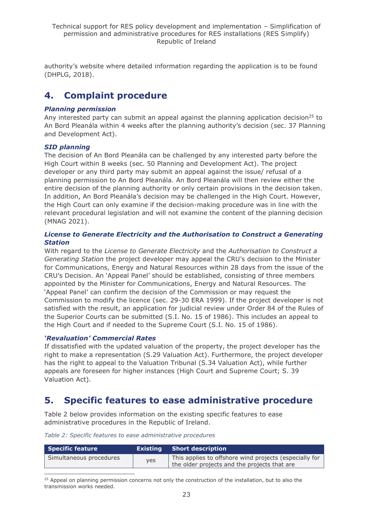authority's website where detailed information regarding the application is to be found (DHPLG, 2018).

# <span id="page-22-0"></span>**4. Complaint procedure**

#### *Planning permission*

Any interested party can submit an appeal against the planning application decision<sup>25</sup> to An Bord Pleanála within 4 weeks after the planning authority's decision (sec. 37 Planning and Development Act).

#### *SID planning*

The decision of An Bord Pleanála can be challenged by any interested party before the High Court within 8 weeks (sec. 50 Planning and Development Act). The project developer or any third party may submit an appeal against the issue/ refusal of a planning permission to An Bord Pleanála. An Bord Pleanála will then review either the entire decision of the planning authority or only certain provisions in the decision taken. In addition, An Bord Pleanála's decision may be challenged in the High Court. However, the High Court can only examine if the decision-making procedure was in line with the relevant procedural legislation and will not examine the content of the planning decision (MNAG 2021).

#### *License to Generate Electricity and the Authorisation to Construct a Generating Station*

With regard to the *License to Generate Electricity* and the *Authorisation to Construct a Generating Station* the project developer may appeal the CRU's decision to the Minister for Communications, Energy and Natural Resources within 28 days from the issue of the CRU's Decision. An 'Appeal Panel' should be established, consisting of three members appointed by the Minister for Communications, Energy and Natural Resources. The 'Appeal Panel' can confirm the decision of the Commission or may request the Commission to modify the licence (sec. 29-30 ERA 1999). If the project developer is not satisfied with the result, an application for judicial review under Order 84 of the Rules of the Superior Courts can be submitted (S.I. No. 15 of 1986). This includes an appeal to the High Court and if needed to the Supreme Court (S.I. No. 15 of 1986).

#### *'Revaluation' Commercial Rates*

If dissatisfied with the updated valuation of the property, the project developer has the right to make a representation (S.29 Valuation Act). Furthermore, the project developer has the right to appeal to the Valuation Tribunal (S.34 Valuation Act), while further appeals are foreseen for higher instances (High Court and Supreme Court; S. 39 Valuation Act).

# <span id="page-22-1"></span>**5. Specific features to ease administrative procedure**

Table 2 below provides information on the existing specific features to ease administrative procedures in the Republic of Ireland.

*Table 2: Specific features to ease administrative procedures*

| Specific feature        |     | <b>Existing</b> Short description                                                                      |
|-------------------------|-----|--------------------------------------------------------------------------------------------------------|
| Simultaneous procedures | ves | This applies to offshore wind projects (especially for<br>the older projects and the projects that are |

<sup>25</sup> Appeal on planning permission concerns not only the construction of the installation, but to also the transmission works needed.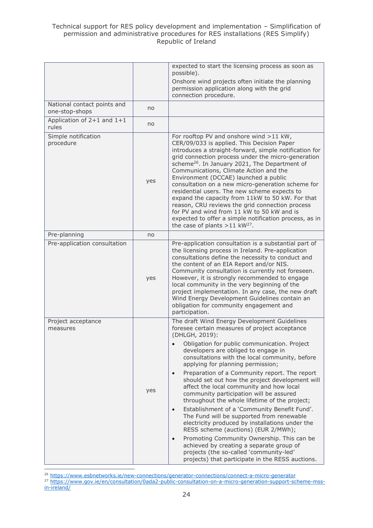#### Technical support for RES policy development and implementation – Simplification of permission and administrative procedures for RES installations (RES Simplify) Republic of Ireland

|                                               |     | expected to start the licensing process as soon as<br>possible).<br>Onshore wind projects often initiate the planning<br>permission application along with the grid<br>connection procedure.                                                                                                                                                                                                                                                                                                                                                                                                                                                                                                                                                                                                                                                                                                                                                                      |
|-----------------------------------------------|-----|-------------------------------------------------------------------------------------------------------------------------------------------------------------------------------------------------------------------------------------------------------------------------------------------------------------------------------------------------------------------------------------------------------------------------------------------------------------------------------------------------------------------------------------------------------------------------------------------------------------------------------------------------------------------------------------------------------------------------------------------------------------------------------------------------------------------------------------------------------------------------------------------------------------------------------------------------------------------|
| National contact points and<br>one-stop-shops | no  |                                                                                                                                                                                                                                                                                                                                                                                                                                                                                                                                                                                                                                                                                                                                                                                                                                                                                                                                                                   |
| Application of $2+1$ and $1+1$<br>rules       | no  |                                                                                                                                                                                                                                                                                                                                                                                                                                                                                                                                                                                                                                                                                                                                                                                                                                                                                                                                                                   |
| Simple notification<br>procedure              | yes | For rooftop PV and onshore wind >11 kW,<br>CER/09/033 is applied. This Decision Paper<br>introduces a straight-forward, simple notification for<br>grid connection process under the micro-generation<br>scheme <sup>26</sup> . In January 2021, The Department of<br>Communications, Climate Action and the<br>Environment (DCCAE) launched a public<br>consultation on a new micro-generation scheme for<br>residential users. The new scheme expects to<br>expand the capacity from 11kW to 50 kW. For that<br>reason, CRU reviews the grid connection process<br>for PV and wind from 11 kW to 50 kW and is<br>expected to offer a simple notification process, as in<br>the case of plants $>11$ kW <sup>27</sup> .                                                                                                                                                                                                                                          |
| Pre-planning                                  | no  |                                                                                                                                                                                                                                                                                                                                                                                                                                                                                                                                                                                                                                                                                                                                                                                                                                                                                                                                                                   |
| Pre-application consultation                  | yes | Pre-application consultation is a substantial part of<br>the licensing process in Ireland. Pre-application<br>consultations define the necessity to conduct and<br>the content of an EIA Report and/or NIS.<br>Community consultation is currently not foreseen.<br>However, it is strongly recommended to engage<br>local community in the very beginning of the<br>project implementation. In any case, the new draft<br>Wind Energy Development Guidelines contain an<br>obligation for community engagement and<br>participation.                                                                                                                                                                                                                                                                                                                                                                                                                             |
| Project acceptance<br>measures                | yes | The draft Wind Energy Development Guidelines<br>foresee certain measures of project acceptance<br>(DHLGH, 2019):<br>Obligation for public communication. Project<br>developers are obliged to engage in<br>consultations with the local community, before<br>applying for planning permission;<br>Preparation of a Community report. The report<br>$\bullet$<br>should set out how the project development will<br>affect the local community and how local<br>community participation will be assured<br>throughout the whole lifetime of the project;<br>Establishment of a 'Community Benefit Fund'.<br>$\bullet$<br>The Fund will be supported from renewable<br>electricity produced by installations under the<br>RESS scheme (auctions) (EUR 2/MWh);<br>Promoting Community Ownership. This can be<br>$\bullet$<br>achieved by creating a separate group of<br>projects (the so-called 'community-led'<br>projects) that participate in the RESS auctions. |

<sup>&</sup>lt;sup>26</sup> <https://www.esbnetworks.ie/new-connections/generator-connections/connect-a-micro-generator>

<sup>27</sup> [https://www.gov.ie/en/consultation/0ada2-public-consultation-on-a-micro-generation-support-scheme-mss](https://www.gov.ie/en/consultation/0ada2-public-consultation-on-a-micro-generation-support-scheme-mss-in-ireland/)[in-ireland/](https://www.gov.ie/en/consultation/0ada2-public-consultation-on-a-micro-generation-support-scheme-mss-in-ireland/)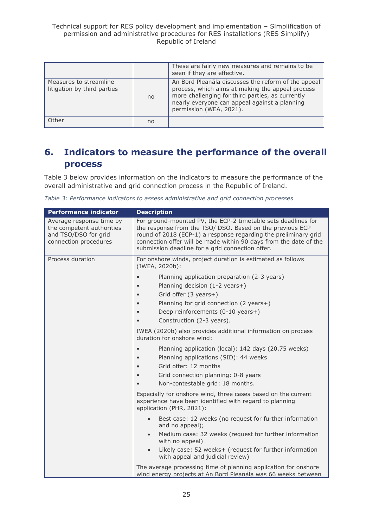|                                                       |    | These are fairly new measures and remains to be<br>seen if they are effective.                                                                                                                                                          |
|-------------------------------------------------------|----|-----------------------------------------------------------------------------------------------------------------------------------------------------------------------------------------------------------------------------------------|
| Measures to streamline<br>litigation by third parties | no | An Bord Pleanála discusses the reform of the appeal<br>process, which aims at making the appeal process<br>more challenging for third parties, as currently<br>nearly everyone can appeal against a planning<br>permission (WEA, 2021). |
| Other                                                 | no |                                                                                                                                                                                                                                         |

# <span id="page-24-0"></span>**6. Indicators to measure the performance of the overall process**

Table 3 below provides information on the indicators to measure the performance of the overall administrative and grid connection process in the Republic of Ireland.

| Table 3: Performance indicators to assess administrative and grid connection processes |  |  |
|----------------------------------------------------------------------------------------|--|--|
|----------------------------------------------------------------------------------------|--|--|

| <b>Performance indicator</b>                                                                           | <b>Description</b>                                                                                                                                                                                                                                                                                                     |
|--------------------------------------------------------------------------------------------------------|------------------------------------------------------------------------------------------------------------------------------------------------------------------------------------------------------------------------------------------------------------------------------------------------------------------------|
| Average response time by<br>the competent authorities<br>and TSO/DSO for grid<br>connection procedures | For ground-mounted PV, the ECP-2 timetable sets deadlines for<br>the response from the TSO/ DSO. Based on the previous ECP<br>round of 2018 (ECP-1) a response regarding the preliminary grid<br>connection offer will be made within 90 days from the date of the<br>submission deadline for a grid connection offer. |
| Process duration                                                                                       | For onshore winds, project duration is estimated as follows<br>(IWEA, 2020b):                                                                                                                                                                                                                                          |
|                                                                                                        | Planning application preparation (2-3 years)<br>Planning decision (1-2 years+)<br>Grid offer (3 years+)<br>Planning for grid connection (2 years+)<br>Deep reinforcements (0-10 years+)<br>Construction (2-3 years).<br>IWEA (2020b) also provides additional information on process                                   |
|                                                                                                        | duration for onshore wind:<br>Planning application (local): 142 days (20.75 weeks)<br>Planning applications (SID): 44 weeks                                                                                                                                                                                            |
|                                                                                                        | Grid offer: 12 months<br>Grid connection planning: 0-8 years<br>Non-contestable grid: 18 months.                                                                                                                                                                                                                       |
|                                                                                                        | Especially for onshore wind, three cases based on the current<br>experience have been identified with regard to planning<br>application (PHR, 2021):                                                                                                                                                                   |
|                                                                                                        | Best case: 12 weeks (no request for further information<br>and no appeal);                                                                                                                                                                                                                                             |
|                                                                                                        | Medium case: 32 weeks (request for further information<br>with no appeal)                                                                                                                                                                                                                                              |
|                                                                                                        | Likely case: 52 weeks+ (request for further information<br>$\bullet$<br>with appeal and judicial review)                                                                                                                                                                                                               |
|                                                                                                        | The average processing time of planning application for onshore<br>wind energy projects at An Bord Pleanála was 66 weeks between                                                                                                                                                                                       |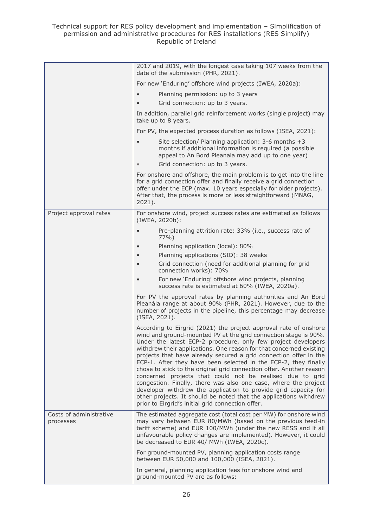|                                      | 2017 and 2019, with the longest case taking 107 weeks from the<br>date of the submission (PHR, 2021).                                                                                                                                                                                                                                                                                                                                                                                                                                                                                                                                                                                                                                                                                                                    |
|--------------------------------------|--------------------------------------------------------------------------------------------------------------------------------------------------------------------------------------------------------------------------------------------------------------------------------------------------------------------------------------------------------------------------------------------------------------------------------------------------------------------------------------------------------------------------------------------------------------------------------------------------------------------------------------------------------------------------------------------------------------------------------------------------------------------------------------------------------------------------|
|                                      | For new 'Enduring' offshore wind projects (IWEA, 2020a):                                                                                                                                                                                                                                                                                                                                                                                                                                                                                                                                                                                                                                                                                                                                                                 |
|                                      | Planning permission: up to 3 years                                                                                                                                                                                                                                                                                                                                                                                                                                                                                                                                                                                                                                                                                                                                                                                       |
|                                      | Grid connection: up to 3 years.                                                                                                                                                                                                                                                                                                                                                                                                                                                                                                                                                                                                                                                                                                                                                                                          |
|                                      | In addition, parallel grid reinforcement works (single project) may<br>take up to 8 years.                                                                                                                                                                                                                                                                                                                                                                                                                                                                                                                                                                                                                                                                                                                               |
|                                      | For PV, the expected process duration as follows (ISEA, 2021):                                                                                                                                                                                                                                                                                                                                                                                                                                                                                                                                                                                                                                                                                                                                                           |
|                                      | Site selection/ Planning application: 3-6 months +3<br>months if additional information is required (a possible<br>appeal to An Bord Pleanala may add up to one year)                                                                                                                                                                                                                                                                                                                                                                                                                                                                                                                                                                                                                                                    |
|                                      | Grid connection: up to 3 years.                                                                                                                                                                                                                                                                                                                                                                                                                                                                                                                                                                                                                                                                                                                                                                                          |
|                                      | For onshore and offshore, the main problem is to get into the line<br>for a grid connection offer and finally receive a grid connection<br>offer under the ECP (max. 10 years especially for older projects).<br>After that, the process is more or less straightforward (MNAG,<br>2021).                                                                                                                                                                                                                                                                                                                                                                                                                                                                                                                                |
| Project approval rates               | For onshore wind, project success rates are estimated as follows<br>(IWEA, 2020b):                                                                                                                                                                                                                                                                                                                                                                                                                                                                                                                                                                                                                                                                                                                                       |
|                                      | Pre-planning attrition rate: 33% (i.e., success rate of<br>$77%$ )                                                                                                                                                                                                                                                                                                                                                                                                                                                                                                                                                                                                                                                                                                                                                       |
|                                      | Planning application (local): 80%                                                                                                                                                                                                                                                                                                                                                                                                                                                                                                                                                                                                                                                                                                                                                                                        |
|                                      | Planning applications (SID): 38 weeks                                                                                                                                                                                                                                                                                                                                                                                                                                                                                                                                                                                                                                                                                                                                                                                    |
|                                      | Grid connection (need for additional planning for grid<br>connection works): 70%                                                                                                                                                                                                                                                                                                                                                                                                                                                                                                                                                                                                                                                                                                                                         |
|                                      | For new 'Enduring' offshore wind projects, planning<br>success rate is estimated at 60% (IWEA, 2020a).                                                                                                                                                                                                                                                                                                                                                                                                                                                                                                                                                                                                                                                                                                                   |
|                                      | For PV the approval rates by planning authorities and An Bord<br>Pleanála range at about 90% (PHR, 2021). However, due to the<br>number of projects in the pipeline, this percentage may decrease<br>(ISEA, 2021).                                                                                                                                                                                                                                                                                                                                                                                                                                                                                                                                                                                                       |
|                                      | According to Eirgrid (2021) the project approval rate of onshore<br>wind and ground-mounted PV at the grid connection stage is 90%.<br>Under the latest ECP-2 procedure, only few project developers<br>withdrew their applications. One reason for that concerned existing<br>projects that have already secured a grid connection offer in the<br>ECP-1. After they have been selected in the ECP-2, they finally<br>chose to stick to the original grid connection offer. Another reason<br>concerned projects that could not be realised due to grid<br>congestion. Finally, there was also one case, where the project<br>developer withdrew the application to provide grid capacity for<br>other projects. It should be noted that the applications withdrew<br>prior to Eirgrid's initial grid connection offer. |
| Costs of administrative<br>processes | The estimated aggregate cost (total cost per MW) for onshore wind<br>may vary between EUR 80/MWh (based on the previous feed-in<br>tariff scheme) and EUR 100/MWh (under the new RESS and if all<br>unfavourable policy changes are implemented). However, it could<br>be decreased to EUR 40/ MWh (IWEA, 2020c).                                                                                                                                                                                                                                                                                                                                                                                                                                                                                                        |
|                                      | For ground-mounted PV, planning application costs range<br>between EUR 50,000 and 100,000 (ISEA, 2021).                                                                                                                                                                                                                                                                                                                                                                                                                                                                                                                                                                                                                                                                                                                  |
|                                      | In general, planning application fees for onshore wind and<br>ground-mounted PV are as follows:                                                                                                                                                                                                                                                                                                                                                                                                                                                                                                                                                                                                                                                                                                                          |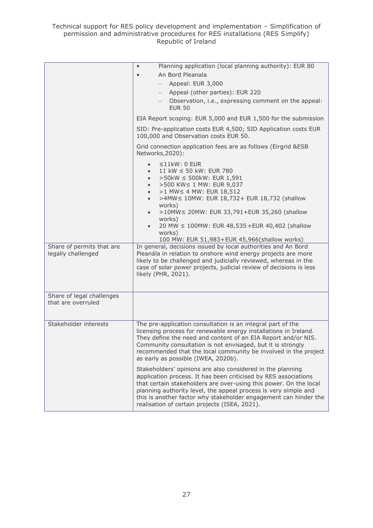Technical support for RES policy development and implementation – Simplification of permission and administrative procedures for RES installations (RES Simplify) Republic of Ireland

|                                                 | Planning application (local planning authority): EUR 80<br>$\bullet$<br>An Bord Pleanala<br>Appeal: EUR 3,000<br>Appeal (other parties): EUR 220<br>Observation, i.e., expressing comment on the appeal:<br><b>EUR 50</b><br>EIA Report scoping: EUR 5,000 and EUR 1,500 for the submission<br>SID: Pre-application costs EUR 4,500; SID Application costs EUR<br>100,000 and Observation costs EUR 50.                                                                                                                                                        |
|-------------------------------------------------|----------------------------------------------------------------------------------------------------------------------------------------------------------------------------------------------------------------------------------------------------------------------------------------------------------------------------------------------------------------------------------------------------------------------------------------------------------------------------------------------------------------------------------------------------------------|
| Share of permits that are                       | Grid connection application fees are as follows (Eirgrid &ESB<br>Networks, 2020):<br>$\leq$ 11kW: 0 EUR<br>11 kW ≤ 50 kW: EUR 780<br>>50kW ≤ 500kW: EUR 1,591<br>>500 KW ≤ 1 MW: EUR 9,037<br>$\bullet$<br>>1 MW ≤ 4 MW: EUR 18,512<br>>4MW≤ 10MW: EUR 18,732+ EUR 18,732 (shallow<br>$\bullet$<br>works)<br>>10MW < 20MW: EUR 33,791+EUR 35,260 (shallow<br>$\bullet$<br>works)<br>20 MW ≤ 100MW: EUR 48,535 + EUR 40,402 (shallow<br>works)<br>100 MW: EUR 51,983+EUR 45,966(shallow works)<br>In general, decisions issued by local authorities and An Bord |
| legally challenged                              | Pleanála in relation to onshore wind energy projects are more<br>likely to be challenged and judicially reviewed, whereas in the<br>case of solar power projects, judicial review of decisions is less<br>likely (PHR, 2021).                                                                                                                                                                                                                                                                                                                                  |
| Share of legal challenges<br>that are overruled |                                                                                                                                                                                                                                                                                                                                                                                                                                                                                                                                                                |
| Stakeholder interests                           | The pre-application consultation is an integral part of the<br>licensing process for renewable energy installations in Ireland.<br>They define the need and content of an EIA Report and/or NIS.<br>Community consultation is not envisaged, but it is strongly<br>recommended that the local community be involved in the project<br>as early as possible (IWEA, 2020b).                                                                                                                                                                                      |
|                                                 | Stakeholders' opinions are also considered in the planning<br>application process. It has been criticised by RES associations<br>that certain stakeholders are over-using this power. On the local<br>planning authority level, the appeal process is very simple and<br>this is another factor why stakeholder engagement can hinder the<br>realisation of certain projects (ISEA, 2021).                                                                                                                                                                     |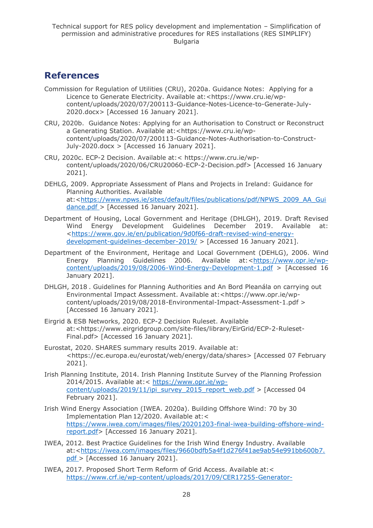# <span id="page-27-0"></span>**References**

- Commission for Regulation of Utilities (CRU), 2020a. Guidance Notes: Applying for a Licence to Generate Electricity. Available at: <https://www.cru.ie/wpcontent/uploads/2020/07/200113-Guidance-Notes-Licence-to-Generate-July-2020.docx> [Accessed 16 January 2021].
- CRU, 2020b. Guidance Notes: Applying for an Authorisation to Construct or Reconstruct a Generating Station. Available at:<https://www.cru.ie/wpcontent/uploads/2020/07/200113-Guidance-Notes-Authorisation-to-Construct-July-2020.docx > [Accessed 16 January 2021].
- CRU, 2020c. ECP-2 Decision. Available at:< https://www.cru.ie/wpcontent/uploads/2020/06/CRU20060-ECP-2-Decision.pdf> [Accessed 16 January 2021].
- DEHLG, 2009. Appropriate Assessment of Plans and Projects in Ireland: Guidance for Planning Authorities. Available at:[<https://www.npws.ie/sites/default/files/publications/pdf/NPWS\\_2009\\_AA\\_Gui](https://www.npws.ie/sites/default/files/publications/pdf/NPWS_2009_AA_Guidance.pdf) [dance.pdf >](https://www.npws.ie/sites/default/files/publications/pdf/NPWS_2009_AA_Guidance.pdf) [Accessed 16 January 2021].
- Department of Housing, Local Government and Heritage (DHLGH), 2019. Draft Revised Wind Energy Development Guidelines December 2019. Available at: [<https://www.gov.ie/en/publication/9d0f66-draft-revised-wind-energy](https://www.gov.ie/en/publication/9d0f66-draft-revised-wind-energy-development-guidelines-december-2019/)[development-guidelines-december-2019/](https://www.gov.ie/en/publication/9d0f66-draft-revised-wind-energy-development-guidelines-december-2019/) > [Accessed 16 January 2021].
- Department of the Environment, Heritage and Local Government (DEHLG), 2006. Wind Energy Planning Guidelines 2006. Available at:[<https://www.opr.ie/wp](https://www.opr.ie/wp-content/uploads/2019/08/2006-Wind-Energy-Development-1.pdf)[content/uploads/2019/08/2006-Wind-Energy-Development-1.pdf](https://www.opr.ie/wp-content/uploads/2019/08/2006-Wind-Energy-Development-1.pdf) > [Accessed 16 January 2021].
- DHLGH, 2018 . Guidelines for Planning Authorities and An Bord Pleanála on carrying out Environmental Impact Assessment. Available at:<https://www.opr.ie/wpcontent/uploads/2019/08/2018-Environmental-Impact-Assessment-1.pdf > [Accessed 16 January 2021].
- Eirgrid & ESB Networks, 2020. ECP-2 Decision Ruleset. Available at:<https://www.eirgridgroup.com/site-files/library/EirGrid/ECP-2-Ruleset-Final.pdf> [Accessed 16 January 2021].
- Eurostat, 2020. SHARES summary results 2019. Available at: <https://ec.europa.eu/eurostat/web/energy/data/shares> [Accessed 07 February 2021].
- Irish Planning Institute, 2014. Irish Planning Institute Survey of the Planning Profession 2014/2015. Available at:< [https://www.opr.ie/wp](https://www.opr.ie/wp-content/uploads/2019/11/ipi_survey_2015_report_web.pdf)[content/uploads/2019/11/ipi\\_survey\\_2015\\_report\\_web.pdf](https://www.opr.ie/wp-content/uploads/2019/11/ipi_survey_2015_report_web.pdf) > [Accessed 04 February 2021].
- Irish Wind Energy Association (IWEA. 2020a). Building Offshore Wind: 70 by 30 Implementation Plan 12/2020. Available at:< [https://www.iwea.com/images/files/20201203-final-iwea-building-offshore-wind](https://www.iwea.com/images/files/20201203-final-iwea-building-offshore-wind-report.pdf)[report.pdf>](https://www.iwea.com/images/files/20201203-final-iwea-building-offshore-wind-report.pdf) [Accessed 16 January 2021].
- IWEA, 2012. Best Practice Guidelines for the Irish Wind Energy Industry. Available at:[<https://iwea.com/images/files/9660bdfb5a4f1d276f41ae9ab54e991bb600b7.](https://iwea.com/images/files/9660bdfb5a4f1d276f41ae9ab54e991bb600b7.pdf) [pdf >](https://iwea.com/images/files/9660bdfb5a4f1d276f41ae9ab54e991bb600b7.pdf) [Accessed 16 January 2021].
- IWEA, 2017. Proposed Short Term Reform of Grid Access. Available at:< [https://www.crf.ie/wp-content/uploads/2017/09/CER17255-Generator-](https://www.crf.ie/wp-content/uploads/2017/09/CER17255-Generator-Connections-LG-Meeting-No-45-IWEA-Proposed-Short-Term-Reform-of-Grid-Access.pdf)